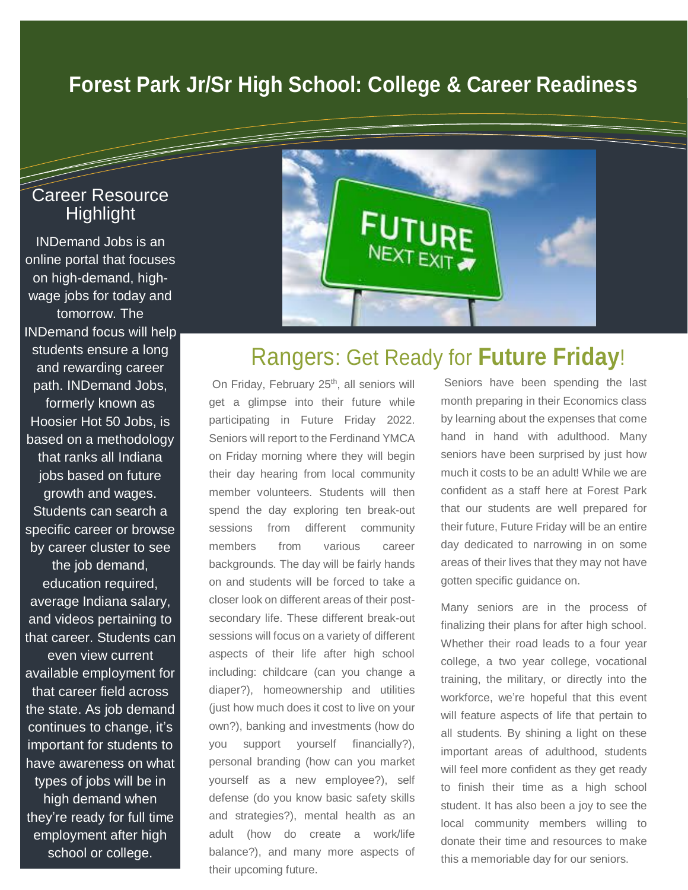## **Forest Park Jr/Sr High School: College & Career Readiness**

### Career Resource **Highlight**

T

INDemand Jobs is an online portal that focuses on high-demand, highwage jobs for today and tomorrow. The INDemand focus will help students ensure a long and rewarding career path. INDemand Jobs, formerly known as Hoosier Hot 50 Jobs, is based on a methodology that ranks all Indiana jobs based on future growth and wages. Students can search a specific career or browse by career cluster to see the job demand, education required, average Indiana salary, and videos pertaining to that career. Students can even view current available employment for that career field across the state. As job demand continues to change, it's important for students to have awareness on what types of jobs will be in high demand when they're ready for full time employment after high school or college.



## Rangers: Get Ready for **Future Friday**!

On Friday, February 25<sup>th</sup>, all seniors will get a glimpse into their future while participating in Future Friday 2022. Seniors will report to the Ferdinand YMCA on Friday morning where they will begin their day hearing from local community member volunteers. Students will then spend the day exploring ten break-out sessions from different community members from various career backgrounds. The day will be fairly hands on and students will be forced to take a closer look on different areas of their postsecondary life. These different break-out sessions will focus on a variety of different aspects of their life after high school including: childcare (can you change a diaper?), homeownership and utilities (just how much does it cost to live on your own?), banking and investments (how do you support yourself financially?), personal branding (how can you market yourself as a new employee?), self defense (do you know basic safety skills and strategies?), mental health as an adult (how do create a work/life balance?), and many more aspects of their upcoming future.

Seniors have been spending the last month preparing in their Economics class by learning about the expenses that come hand in hand with adulthood. Many seniors have been surprised by just how much it costs to be an adult! While we are confident as a staff here at Forest Park that our students are well prepared for their future, Future Friday will be an entire day dedicated to narrowing in on some areas of their lives that they may not have gotten specific guidance on.

Many seniors are in the process of finalizing their plans for after high school. Whether their road leads to a four year college, a two year college, vocational training, the military, or directly into the workforce, we're hopeful that this event will feature aspects of life that pertain to all students. By shining a light on these important areas of adulthood, students will feel more confident as they get ready to finish their time as a high school student. It has also been a joy to see the local community members willing to donate their time and resources to make this a memoriable day for our seniors.